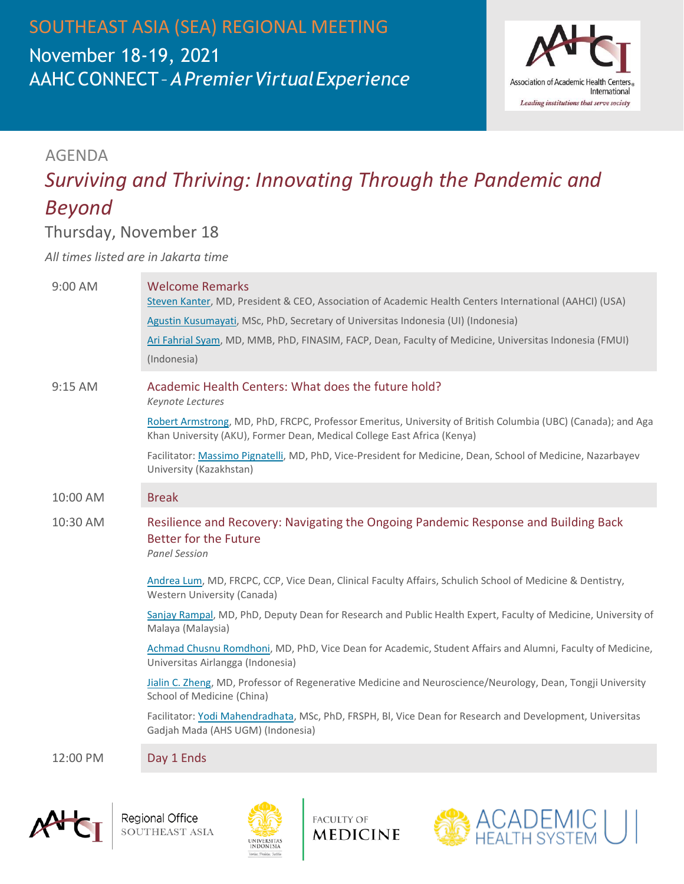SOUTHEAST ASIA (SEA) REGIONAL MEETING November 18-19, 2021 AAHCCONNECT–*APremierVirtualExperience*



### AGENDA

# *Surviving and Thriving: Innovating Through the Pandemic and Beyond*

### Thursday, November 18

*All times listed are in Jakarta time*

| $9:00$ AM | <b>Welcome Remarks</b><br>Steven Kanter, MD, President & CEO, Association of Academic Health Centers International (AAHCI) (USA)<br>Agustin Kusumayati, MSc, PhD, Secretary of Universitas Indonesia (UI) (Indonesia)<br>Ari Fahrial Syam, MD, MMB, PhD, FINASIM, FACP, Dean, Faculty of Medicine, Universitas Indonesia (FMUI)<br>(Indonesia)                                                               |
|-----------|--------------------------------------------------------------------------------------------------------------------------------------------------------------------------------------------------------------------------------------------------------------------------------------------------------------------------------------------------------------------------------------------------------------|
| 9:15 AM   | Academic Health Centers: What does the future hold?<br>Keynote Lectures<br>Robert Armstrong, MD, PhD, FRCPC, Professor Emeritus, University of British Columbia (UBC) (Canada); and Aga<br>Khan University (AKU), Former Dean, Medical College East Africa (Kenya)<br>Facilitator: Massimo Pignatelli, MD, PhD, Vice-President for Medicine, Dean, School of Medicine, Nazarbayev<br>University (Kazakhstan) |
| 10:00 AM  | <b>Break</b>                                                                                                                                                                                                                                                                                                                                                                                                 |
| 10:30 AM  | Resilience and Recovery: Navigating the Ongoing Pandemic Response and Building Back<br><b>Better for the Future</b><br><b>Panel Session</b>                                                                                                                                                                                                                                                                  |
|           | Andrea Lum, MD, FRCPC, CCP, Vice Dean, Clinical Faculty Affairs, Schulich School of Medicine & Dentistry,<br>Western University (Canada)                                                                                                                                                                                                                                                                     |
|           | Sanjay Rampal, MD, PhD, Deputy Dean for Research and Public Health Expert, Faculty of Medicine, University of<br>Malaya (Malaysia)                                                                                                                                                                                                                                                                           |
|           | Achmad Chusnu Romdhoni, MD, PhD, Vice Dean for Academic, Student Affairs and Alumni, Faculty of Medicine,<br>Universitas Airlangga (Indonesia)                                                                                                                                                                                                                                                               |
|           | Jialin C. Zheng, MD, Professor of Regenerative Medicine and Neuroscience/Neurology, Dean, Tongji University<br>School of Medicine (China)                                                                                                                                                                                                                                                                    |
|           | Facilitator: Yodi Mahendradhata, MSc, PhD, FRSPH, Bl, Vice Dean for Research and Development, Universitas<br>Gadjah Mada (AHS UGM) (Indonesia)                                                                                                                                                                                                                                                               |
| 12:00 PM  | Day 1 Ends                                                                                                                                                                                                                                                                                                                                                                                                   |





**FACULTY OF MEDICINE**